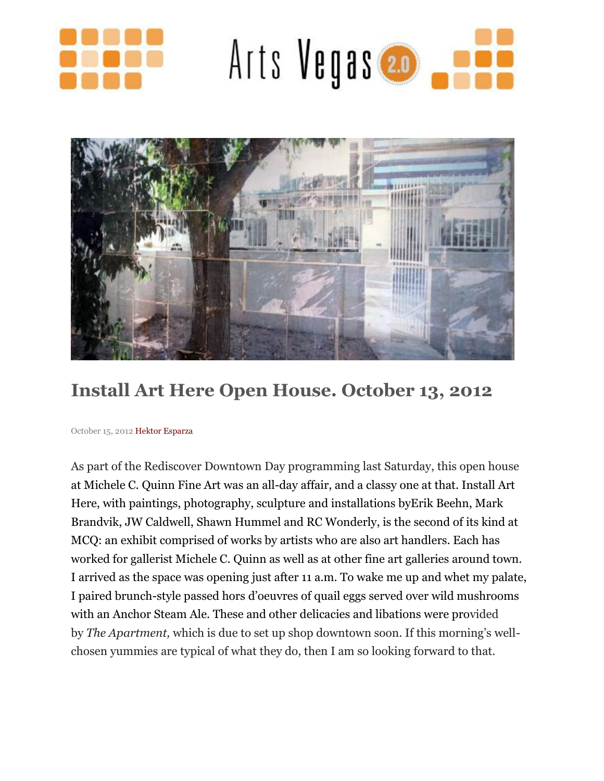





## **Install Art Here Open House. October 13, 2012**

October 15, 2012 Hektor [Esparza](http://www.artsvegas.com/)

As part of the Rediscover Downtown Day programming last Saturday, this open house at [Michele](http://www.mcqfineart.com/profile.cfm) C. Quinn Fine Art was an all-day affair, and a classy one at that. Install Art Here, with paintings, photography, sculpture and installations byErik [Beehn,](http://www.erikbeehn.com/) [Mark](http://www.markbrandvik.com/) [Brandvik,](http://www.markbrandvik.com/) JW [Caldwell,](http://www.trifectagallery.com/JWCaldwell2012.html) Shawn [Hummel](http://www.heatherjames.com/artist.asp?Atst=ShawnHummel&id=31) and RC [Wonderly,](http://louruvocenterart.org/artists/rc-wonderly/) is the second of its kind at MCQ: an exhibit comprised of works by artists who are also art handlers. Each has worked for gallerist Michele C. Quinn as well as at other fine art galleries around town. I arrived as the space was opening just after 11 a.m. To wake me up and whet my palate, I paired brunch-style passed hors d'oeuvres of quail eggs served over wild mushrooms with an Anchor Steam Ale. These and other delicacies and libations were provided by *The Apartment,* which is due to set up shop downtown soon. If this morning's wellchosen yummies are typical of what they do, then I am so looking forward to that.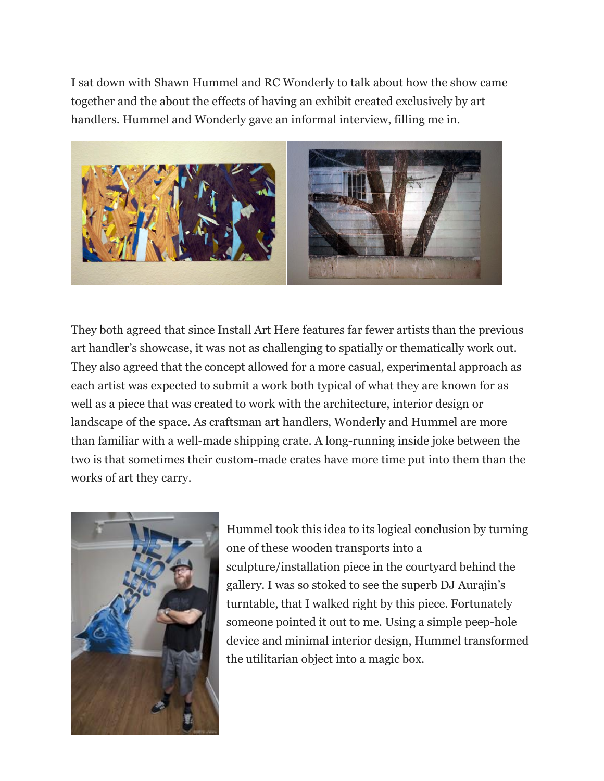I sat down with Shawn Hummel and RC Wonderly to talk about how the show came together and the about the effects of having an exhibit created exclusively by art handlers. Hummel and Wonderly gave an informal interview, filling me in.



They both agreed that since Install Art Here features far fewer artists than the previous art handler's showcase, it was not as challenging to spatially or thematically work out. They also agreed that the concept allowed for a more casual, experimental approach as each artist was expected to submit a work both typical of what they are known for as well as a piece that was created to work with the architecture, interior design or landscape of the space. As craftsman art handlers, Wonderly and Hummel are more than familiar with a well-made shipping crate. A long-running inside joke between the two is that sometimes their custom-made crates have more time put into them than the works of art they carry.



Hummel took this idea to its logical conclusion by turning one of these wooden transports into a sculpture/installation piece in the courtyard behind the gallery. I was so stoked to see the superb DJ Aurajin's turntable, that I walked right by this piece. Fortunately someone pointed it out to me. Using a simple peep-hole device and minimal interior design, Hummel transformed the utilitarian object into a magic box.